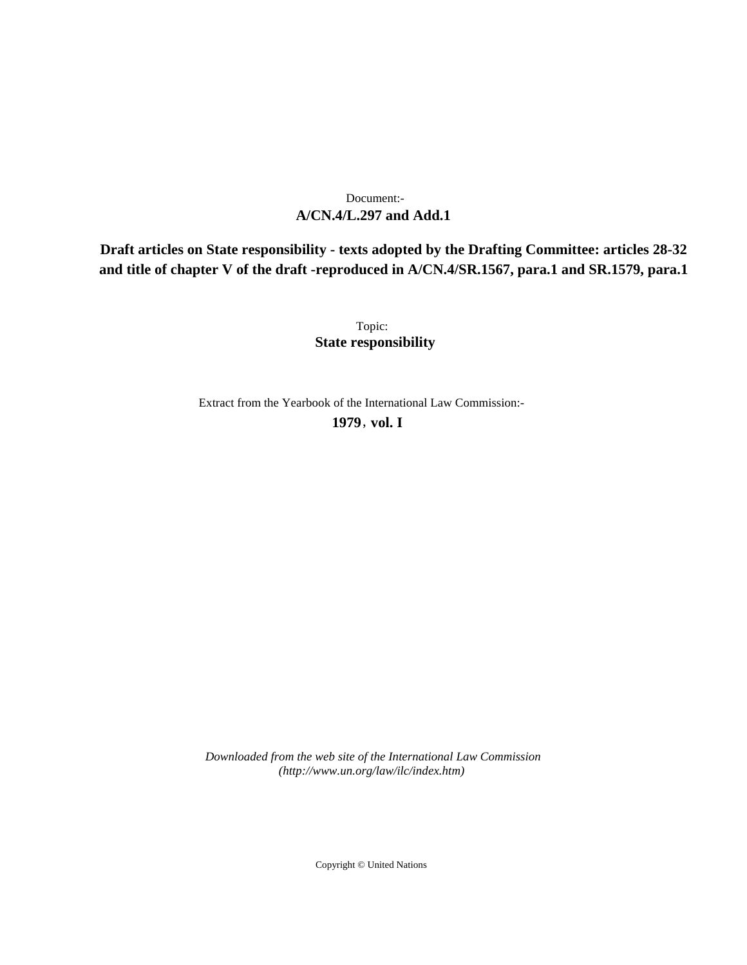# **A/CN.4/L.297 and Add.1** Document:-

**Draft articles on State responsibility - texts adopted by the Drafting Committee: articles 28-32 and title of chapter V of the draft -reproduced in A/CN.4/SR.1567, para.1 and SR.1579, para.1**

> Topic: **State responsibility**

Extract from the Yearbook of the International Law Commission:-

**1979** , **vol. I**

*Downloaded from the web site of the International Law Commission (http://www.un.org/law/ilc/index.htm)*

Copyright © United Nations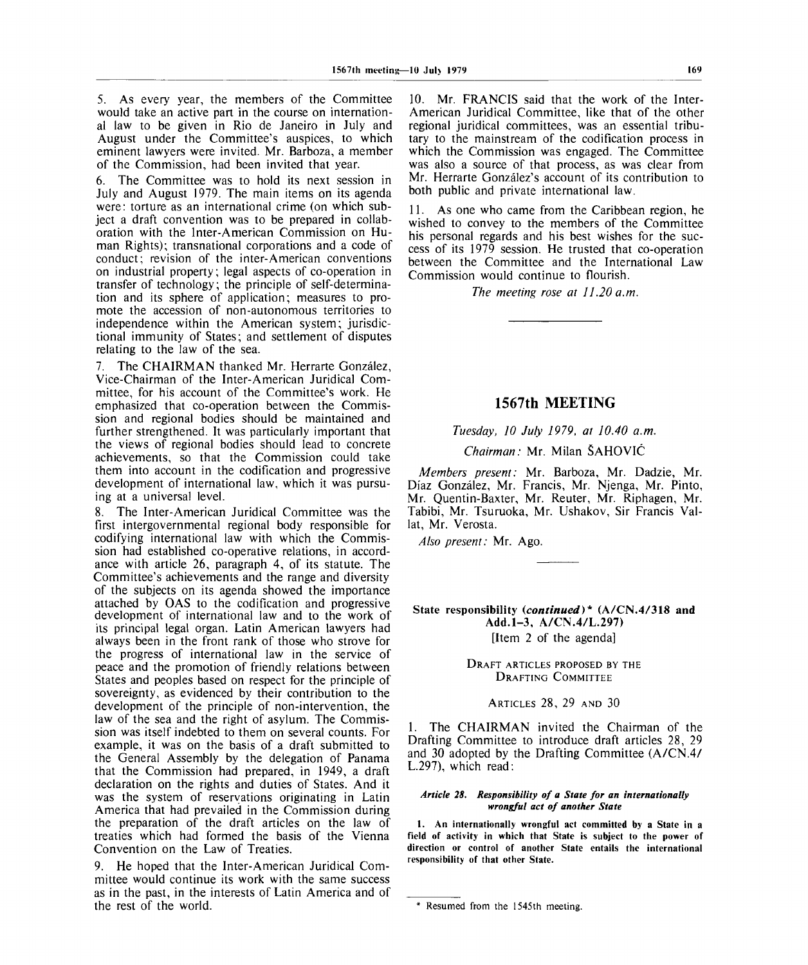5. As every year, the members of the Committee would take an active part in the course on international law to be given in Rio de Janeiro in July and August under the Committee's auspices, to which eminent lawyers were invited. Mr. Barboza, a member of the Commission, had been invited that year.

6. The Committee was to hold its next session in July and August 1979. The main items on its agenda were: torture as an international crime (on which subject a draft convention was to be prepared in collaboration with the Inter-American Commission on Human Rights); transnational corporations and a code of conduct; revision of the inter-American conventions on industrial property; legal aspects of co-operation in transfer of technology; the principle of self-determination and its sphere of application; measures to promote the accession of non-autonomous territories to independence within the American system; jurisdictional immunity of States; and settlement of disputes relating to the law of the sea.

7. The CHAIRMAN thanked Mr. Herrarte Gonzalez, Vice-Chairman of the Inter-American Juridical Committee, for his account of the Committee's work. He emphasized that co-operation between the Commission and regional bodies should be maintained and further strengthened. It was particularly important that the views of regional bodies should lead to concrete achievements, so that the Commission could take them into account in the codification and progressive development of international law, which it was pursuing at a universal level.

8. The Inter-American Juridical Committee was the first intergovernmental regional body responsible for codifying international law with which the Commission had established co-operative relations, in accordance with article 26, paragraph 4, of its statute. The Committee's achievements and the range and diversity of the subjects on its agenda showed the importance attached by OAS to the codification and progressive development of international law and to the work of its principal legal organ. Latin American lawyers had always been in the front rank of those who strove for the progress of international law in the service of peace and the promotion of friendly relations between States and peoples based on respect for the principle of sovereignty, as evidenced by their contribution to the development of the principle of non-intervention, the law of the sea and the right of asylum. The Commission was itself indebted to them on several counts. For example, it was on the basis of a draft submitted to the General Assembly by the delegation of Panama that the Commission had prepared, in 1949, a draft declaration on the rights and duties of States. And it was the system of reservations originating in Latin America that had prevailed in the Commission during the preparation of the draft articles on the law of treaties which had formed the basis of the Vienna Convention on the Law of Treaties.

9. He hoped that the Inter-American Juridical Committee would continue its work with the same success as in the past, in the interests of Latin America and of the rest of the world.

10. Mr. FRANCIS said that the work of the Inter-American Juridical Committee, like that of the other regional juridical committees, was an essential tributary to the mainstream of the codification process in which the Commission was engaged. The Committee was also a source of that process, as was clear from Mr. Herrarte González's account of its contribution to both public and private international law.

11. As one who came from the Caribbean region, he wished to convey to the members of the Committee his personal regards and his best wishes for the success of its 1979 session. He trusted that co-operation between the Committee and the International Law Commission would continue to flourish.

*The meeting rose at 11.20 a.m.*

## **1567th MEETING**

### *Tuesday, 10 July 1979, at 10.40 a.m.*

*Chairman:* Mr. Milan SAHOVIC

*Members present:* Mr. Barboza, Mr. Dadzie, Mr. Diaz Gonzalez, Mr. Francis, Mr. Njenga, Mr. Pinto, Mr. Quentin-Baxter, Mr. Reuter, Mr. Riphagen, Mr. Tabibi, Mr. Tsuruoka, Mr. Ushakov, Sir Francis Vallat, Mr. Verosta.

*Also present:* Mr. Ago.

State responsibility *{continued)\** (A/CN.4/318 and Add.1-3, A/CN.4/L.297) [Item 2 of the agenda]

> DRAFT ARTICLES PROPOSED BY THE DRAFTING COMMITTEE

> > ARTICLES 28, 29 AND 30

1. The CHAIRMAN invited the Chairman of the Drafting Committee to introduce draft articles 28, 29 and 30 adopted by the Drafting Committee (A/CN.4/ L.297), which read:

#### *Article 28. Responsibility of a State for an internationally wrongful act of another State*

1. An internationally wrongful act committed by a State in a field of activity in which that State is subject to the power of direction or control of another State entails the international responsibility of that other State.

<sup>\*</sup> Resumed from the 1545th meeting.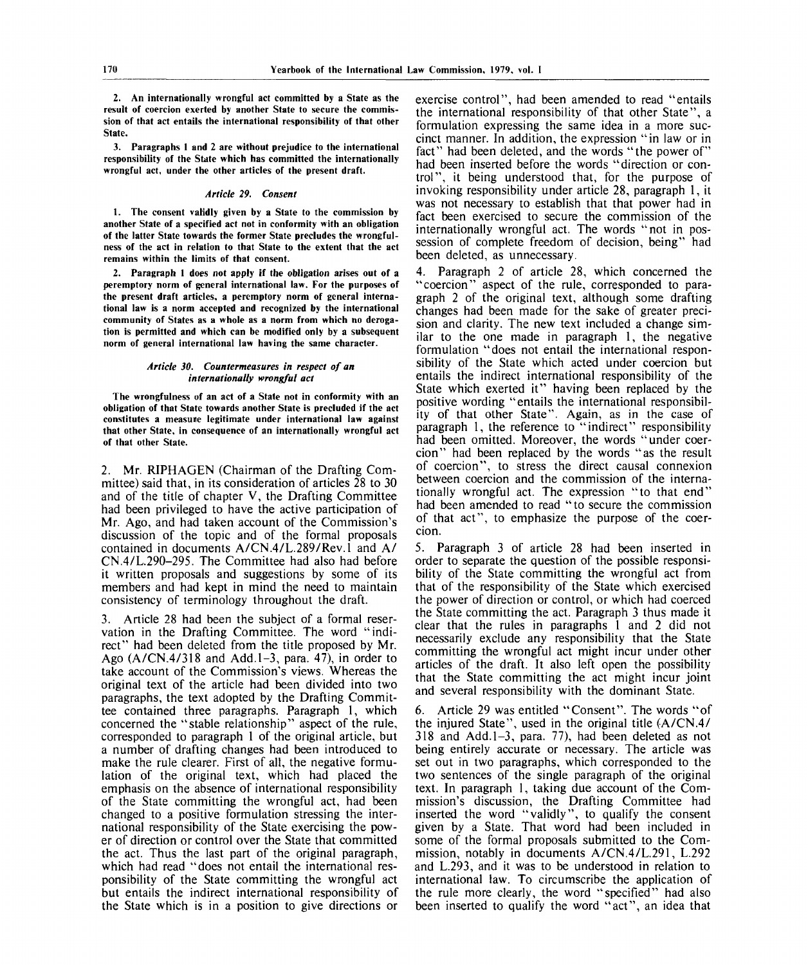**2. An internationally wrongful act committed by a State as the result of coercion exerted by another State to secure the commission of that act entails the international responsibility of that other State.**

**3. Paragraphs 1 and 2 are without prejudice to the international responsibility of the State which has committed the internationally wrongful act, under the other articles of the present draft.**

#### *Article 29. Consent*

**1. The consent validly given by a State to the commission by another State of a specified act not in conformity with an obligation of the latter State towards the former State precludes the wrongfulness of the act in relation to that State to the extent that the act remains within the limits of that consent.**

**2. Paragraph 1 does not apply if the obligation arises out of a peremptory norm of general international law. For the purposes of the present draft articles, a peremptory norm of general international law is a norm accepted and recognized by the international community of States as a whole as a norm from which no derogation is permitted and which can be modified only by a subsequent norm of general international law having the same character.**

#### *Article 30. Countermeasures in respect of an internationally wrongful act*

**The wrongfulness of an act of a State not in conformity with an obligation of that State towards another State is precluded if the act constitutes a measure legitimate under international law against that other State, in consequence of an internationally wrongful act of that other State.**

2. Mr. RIPHAGEN (Chairman of the Drafting Committee) said that, in its consideration of articles 28 to 30 and of the title of chapter V, the Drafting Committee had been privileged to have the active participation of Mr. Ago, and had taken account of the Commission's discussion of the topic and of the formal proposals contained in documents A/CN.4/L.289/Rev.l and A/ CN.4/L.290-295. The Committee had also had before it written proposals and suggestions by some of its members and had kept in mind the need to maintain consistency of terminology throughout the draft.

3. Article 28 had been the subject of a formal reservation in the Drafting Committee. The word "indirect" had been deleted from the title proposed by Mr. Ago  $(A/CN.4/318$  and Add. 1-3, para. 47), in order to take account of the Commission's views. Whereas the original text of the article had been divided into two paragraphs, the text adopted by the Drafting Committee contained three paragraphs. Paragraph 1, which concerned the "stable relationship" aspect of the rule, corresponded to paragraph 1 of the original article, but a number of drafting changes had been introduced to make the rule clearer. First of all, the negative formulation of the original text, which had placed the emphasis on the absence of international responsibility of the State committing the wrongful act, had been changed to a positive formulation stressing the international responsibility of the State exercising the power of direction or control over the State that committed the act. Thus the last part of the original paragraph, which had read "does not entail the international responsibility of the State committing the wrongful act but entails the indirect international responsibility of the State which is in a position to give directions or exercise control", had been amended to read "entails the international responsibility of that other State", a formulation expressing the same idea in a more succinct manner. In addition, the expression "in law or in fact" had been deleted, and the words "the power of" had been inserted before the words "direction or control", it being understood that, for the purpose of invoking responsibility under article 28, paragraph 1, it was not necessary to establish that that power had in fact been exercised to secure the commission of the internationally wrongful act. The words "not in possession of complete freedom of decision, being" had been deleted, as unnecessary.

4. Paragraph 2 of article 28, which concerned the "coercion" aspect of the rule, corresponded to paragraph 2 of the original text, although some drafting changes had been made for the sake of greater precision and clarity. The new text included a change similar to the one made in paragraph 1, the negative formulation "does not entail the international responsibility of the State which acted under coercion but entails the indirect international responsibility of the State which exerted it" having been replaced by the positive wording "entails the international responsibility of that other State". Again, as in the case of paragraph 1, the reference to "indirect" responsibility had been omitted. Moreover, the words "under coercion" had been replaced by the words "as the result of coercion", to stress the direct causal connexion between coercion and the commission of the internationally wrongful act. The expression "to that end" had been amended to read "to secure the commission of that act", to emphasize the purpose of the coercion.

5. Paragraph 3 of article 28 had been inserted in order to separate the question of the possible responsibility of the State committing the wrongful act from that of the responsibility of the State which exercised the power of direction or control, or which had coerced the State committing the act. Paragraph 3 thus made it clear that the rules in paragraphs 1 and 2 did not necessarily exclude any responsibility that the State committing the wrongful act might incur under other articles of the draft. It also left open the possibility that the State committing the act might incur joint and several responsibility with the dominant State.

6. Article 29 was entitled "Consent". The words "of the injured State", used in the original title (A/CN.4/  $318$  and Add.  $1-3$ , para. 77), had been deleted as not being entirely accurate or necessary. The article was set out in two paragraphs, which corresponded to the two sentences of the single paragraph of the original text. In paragraph 1, taking due account of the Commission's discussion, the Drafting Committee had inserted the word "validly", to qualify the consent given by a State. That word had been included in some of the formal proposals submitted to the Commission, notably in documents A/CN.4/L.291, L.292 and L.293, and it was to be understood in relation to international law. To circumscribe the application of the rule more clearly, the word "specified" had also been inserted to qualify the word "act", an idea that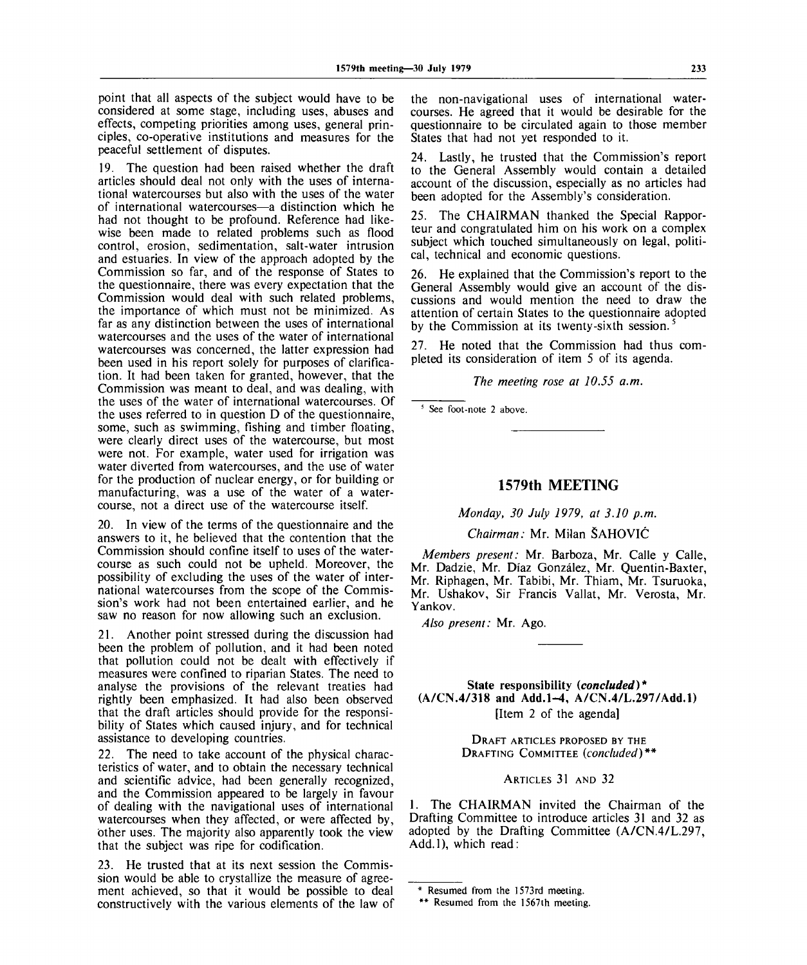point that all aspects of the subject would have to be considered at some stage, including uses, abuses and effects, competing priorities among uses, general principles, co-operative institutions and measures for the peaceful settlement of disputes.

19. The question had been raised whether the draft articles should deal not only with the uses of international watercourses but also with the uses of the water of international watercourses—a distinction which he had not thought to be profound. Reference had likewise been made to related problems such as flood control, erosion, sedimentation, salt-water intrusion and estuaries. In view of the approach adopted by the Commission so far, and of the response of States to the questionnaire, there was every expectation that the Commission would deal with such related problems, the importance of which must not be minimized. As far as any distinction between the uses of international watercourses and the uses of the water of international watercourses was concerned, the latter expression had been used in his report solely for purposes of clarification. It had been taken for granted, however, that the Commission was meant to deal, and was dealing, with the uses of the water of international watercourses. Of the uses referred to in question  $D$  of the questionnaire. some, such as swimming, fishing and timber floating, were clearly direct uses of the watercourse, but most were not. For example, water used for irrigation was water diverted from watercourses, and the use of water for the production of nuclear energy, or for building or manufacturing, was a use of the water of a watercourse, not a direct use of the watercourse itself.

20. In view of the terms of the questionnaire and the answers to it, he believed that the contention that the Commission should confine itself to uses of the watercourse as such could not be upheld. Moreover, the possibility of excluding the uses of the water of international watercourses from the scope of the Commission's work had not been entertained earlier, and he saw no reason for now allowing such an exclusion.

21. Another point stressed during the discussion had been the problem of pollution, and it had been noted that pollution could not be dealt with effectively if measures were confined to riparian States. The need to analyse the provisions of the relevant treaties had rightly been emphasized. It had also been observed that the draft articles should provide for the responsibility of States which caused injury, and for technical assistance to developing countries.

22. The need to take account of the physical characteristics of water, and to obtain the necessary technical and scientific advice, had been generally recognized, and the Commission appeared to be largely in favour of dealing with the navigational uses of international watercourses when they affected, or were affected by, other uses. The majority also apparently took the view that the subject was ripe for codification.

23. He trusted that at its next session the Commission would be able to crystallize the measure of agreement achieved, so that it would be possible to deal constructively with the various elements of the law of the non-navigational uses of international watercourses. He agreed that it would be desirable for the questionnaire to be circulated again to those member States that had not yet responded to it.

24. Lastly, he trusted that the Commission's report to the General Assembly would contain a detailed account of the discussion, especially as no articles had been adopted for the Assembly's consideration.

The CHAIRMAN thanked the Special Rapporteur and congratulated him on his work on a complex subject which touched simultaneously on legal, political, technical and economic questions.

26. He explained that the Commission's report to the General Assembly would give an account of the discussions and would mention the need to draw the attention of certain States to the questionnaire adopted by the Commission at its twenty-sixth session.<sup>5</sup>

27. He noted that the Commission had thus completed its consideration of item 5 of its agenda.

*The meeting rose at 10.55 a.m.*

5 See foot-note 2 above.

# **1579th MEETING**

*Monday, 30 July 1979, at 3.10 p.m.*

*Chairman:* Mr. Milan SAHOVIC

*Members present:* Mr. Barboza, Mr. Calle y Calle, Mr. Dadzie, Mr. Diaz Gonzalez, Mr. Quentin-Baxter, Mr. Riphagen, Mr. Tabibi, Mr. Thiam, Mr. Tsuruoka, Mr. Ushakov, Sir Francis Vallat, Mr. Verosta, Mr. Yankov.

*Also present:* Mr. Ago.

**State responsibility** *(concluded)\** **(A/CN.4/318 and Add.1-4, A/CN.4/L.297/Add.l)** [Item 2 of the agenda]

> DRAFT ARTICLES PROPOSED BY THE DRAFTING COMMITTEE *(concluded)\*\**

> > ARTICLES 31 AND 32

1. The CHAIRMAN invited the Chairman of the Drafting Committee to introduce articles 31 and 32 as adopted by the Drafting Committee (A/CN.4/L.297, Add.l), which read:

<sup>\*</sup> Resumed from the 1573rd meeting.

<sup>\*\*</sup> Resumed from the 1567th meeting.